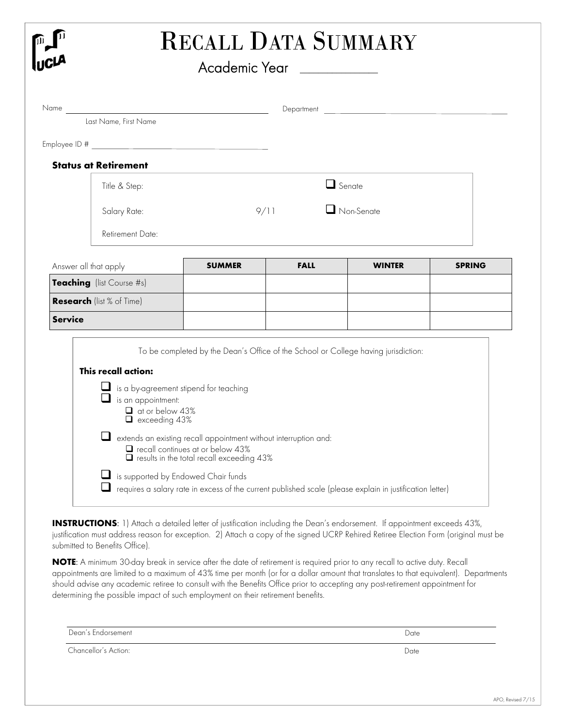| ື່ ∫<br>ທີ່                                 |               | Academic Year <b>with a common control Academic Year</b> |                   |               |
|---------------------------------------------|---------------|----------------------------------------------------------|-------------------|---------------|
|                                             |               |                                                          |                   |               |
| Last Name, First Name                       |               |                                                          |                   |               |
|                                             |               |                                                          |                   |               |
| <b>Status at Retirement</b>                 |               |                                                          |                   |               |
| Title & Step:                               | $\Box$ Senate |                                                          |                   |               |
| Salary Rate:                                |               | 9/11                                                     | $\Box$ Non-Senate |               |
| Retirement Date:                            |               |                                                          |                   |               |
| Answer all that apply                       | <b>SUMMER</b> | <b>FALL</b>                                              | <b>WINTER</b>     | <b>SPRING</b> |
| Teaching (list Course #s)                   |               |                                                          |                   |               |
|                                             |               |                                                          |                   |               |
|                                             |               |                                                          |                   |               |
| Research (list % of Time)<br><b>Service</b> |               |                                                          |                   |               |

submitted to Benefits Office).

**NOTE**: A minimum 30-day break in service after the date of retirement is required prior to any recall to active duty. Recall appointments are limited to a maximum of 43% time per month (or for a dollar amount that translates to that equivalent). Departments should advise any academic retiree to consult with the Benefits Office prior to accepting any post-retirement appointment for determining the possible impact of such employment on their retirement benefits.

| Dean's Endorsement   | Date |
|----------------------|------|
| Chancellor's Action: | Date |